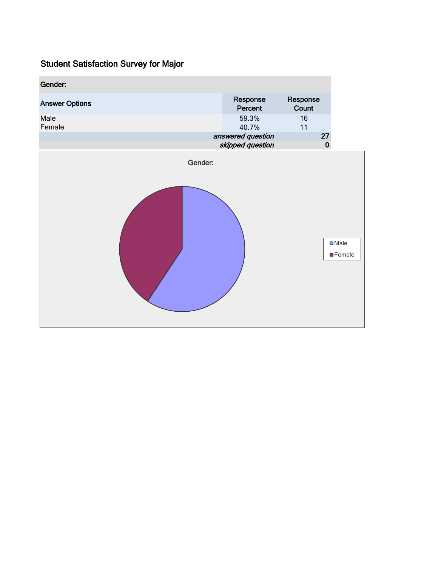| Gender:               |                                       |                   |                                   |
|-----------------------|---------------------------------------|-------------------|-----------------------------------|
| <b>Answer Options</b> | Response<br>Percent                   | Response<br>Count |                                   |
| Male<br>Female        | 59.3%<br>40.7%                        | 16<br>11          |                                   |
|                       | answered question<br>skipped question | 27<br>$\pmb{0}$   |                                   |
| Gender:               |                                       |                   |                                   |
|                       |                                       |                   | $\square$ Male<br><b>E</b> Female |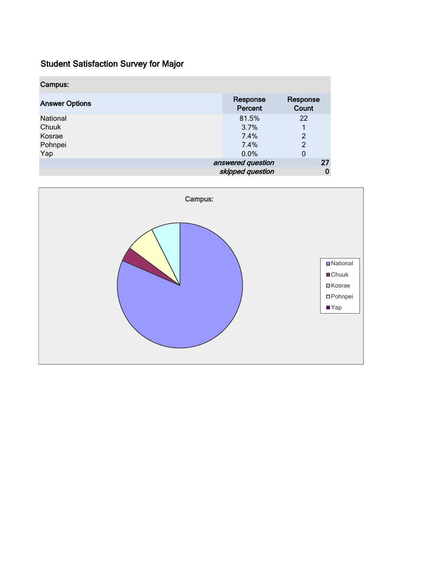| Campus:               |                     |                   |    |
|-----------------------|---------------------|-------------------|----|
| <b>Answer Options</b> | Response<br>Percent | Response<br>Count |    |
| National              | 81.5%               | 22                |    |
| Chuuk                 | 3.7%                |                   |    |
| Kosrae                | $7.4\%$             | $\overline{c}$    |    |
| Pohnpei               | 7.4%                | 2                 |    |
| Yap                   | 0.0%                | $\mathbf 0$       |    |
|                       | answered question   |                   | 27 |
|                       | skipped question    |                   | 0  |

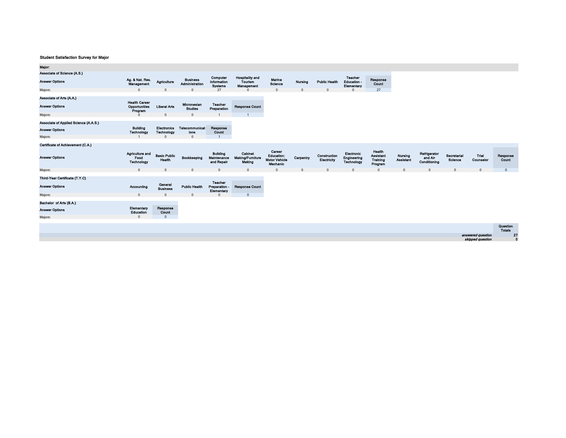| Major:                                |                                                  |                                  |                                   |                                                  |                                                        |                                                                 |                |                             |                                            |                                                   |                             |                                         |                        |                    |                           |
|---------------------------------------|--------------------------------------------------|----------------------------------|-----------------------------------|--------------------------------------------------|--------------------------------------------------------|-----------------------------------------------------------------|----------------|-----------------------------|--------------------------------------------|---------------------------------------------------|-----------------------------|-----------------------------------------|------------------------|--------------------|---------------------------|
| Associate of Science (A.S.)           |                                                  |                                  |                                   |                                                  |                                                        |                                                                 |                |                             |                                            |                                                   |                             |                                         |                        |                    |                           |
| <b>Answer Options</b>                 | Ag. & Nat. Res.<br>Management                    | Agriculture                      | <b>Business</b><br>Administration | Computer<br><b>Information</b><br><b>Systems</b> | <b>Hospitality and</b><br>Tourism<br><b>Management</b> | Marine<br>Science                                               | <b>Nursing</b> | <b>Public Health</b>        | Teacher<br><b>Education-</b><br>Elementary | Response<br>Count                                 |                             |                                         |                        |                    |                           |
| Majors:                               | $\Omega$                                         | $\Omega$                         | $\Omega$                          | 27                                               |                                                        | $\mathbf{0}$                                                    | $\Omega$       | $\Omega$                    | $\Omega$                                   | 27                                                |                             |                                         |                        |                    |                           |
| Associate of Arts (A.A.)              |                                                  |                                  |                                   |                                                  |                                                        |                                                                 |                |                             |                                            |                                                   |                             |                                         |                        |                    |                           |
| <b>Answer Options</b>                 | <b>Health Career</b><br>Opportunities<br>Program | <b>Liberal Arts</b>              | Micronesian<br><b>Studies</b>     | Teacher<br>Preparation                           | <b>Response Count</b>                                  |                                                                 |                |                             |                                            |                                                   |                             |                                         |                        |                    |                           |
| Majors:                               | $\Omega$                                         | $\mathbf{0}$                     | $\mathbf{0}$                      |                                                  |                                                        |                                                                 |                |                             |                                            |                                                   |                             |                                         |                        |                    |                           |
| Associate of Applied Science (A.A.S.) |                                                  |                                  |                                   |                                                  |                                                        |                                                                 |                |                             |                                            |                                                   |                             |                                         |                        |                    |                           |
| <b>Answer Options</b>                 | <b>Building</b><br>Technology                    | <b>Electronics</b><br>Technology | Telecommunicat<br>lons            | Response<br>Count                                |                                                        |                                                                 |                |                             |                                            |                                                   |                             |                                         |                        |                    |                           |
| Majors:                               |                                                  | $\Omega$                         | $\mathbf{0}$                      |                                                  |                                                        |                                                                 |                |                             |                                            |                                                   |                             |                                         |                        |                    |                           |
| Certificate of Achievement (C.A.)     |                                                  |                                  |                                   |                                                  |                                                        |                                                                 |                |                             |                                            |                                                   |                             |                                         |                        |                    |                           |
| <b>Answer Options</b>                 | Agriculture and<br>Food<br>Technology            | <b>Basic Public</b><br>Health    | Bookkeeping                       | <b>Building</b><br>Maintenance<br>and Repair     | Cabinet<br><b>Making/Furniture</b><br>Making           | Career<br><b>Education:</b><br><b>Motor Vehicle</b><br>Mechanic | Carpentry      | Construction<br>Electricity | Electronic<br>Engineering<br>Technology    | Health<br><b>Assistant</b><br>Training<br>Program | Nursing<br><b>Assistant</b> | Refrigerator<br>and Air<br>Conditioning | Secretarial<br>Science | Trial<br>Counselor | Response<br>Count         |
| Majors:                               | $\mathbf{0}$                                     | $\Omega$                         | $\Omega$                          | $\mathbf{0}$                                     | $\Omega$                                               | $\Omega$                                                        | $\Omega$       | $\Omega$                    | $\Omega$                                   | $\Omega$                                          | $\Omega$                    | $\Omega$                                | $\Omega$               | $\Omega$           | $\Omega$                  |
| Third-Year Certificate (T.Y.C)        |                                                  |                                  |                                   |                                                  |                                                        |                                                                 |                |                             |                                            |                                                   |                             |                                         |                        |                    |                           |
| <b>Answer Options</b>                 | Accounting                                       | General<br><b>Business</b>       | <b>Public Health</b>              | <b>Teacher</b><br>Preparation -<br>Elementary    | <b>Response Count</b>                                  |                                                                 |                |                             |                                            |                                                   |                             |                                         |                        |                    |                           |
| Majors:                               | $\mathbf{0}$                                     | $\Omega$                         | $\Omega$                          | $\Omega$                                         | $\mathbf{0}$                                           |                                                                 |                |                             |                                            |                                                   |                             |                                         |                        |                    |                           |
| Bachelor of Arts (B.A.)               |                                                  |                                  |                                   |                                                  |                                                        |                                                                 |                |                             |                                            |                                                   |                             |                                         |                        |                    |                           |
| <b>Answer Options</b>                 | Elementary<br>Education                          | Response<br>Count                |                                   |                                                  |                                                        |                                                                 |                |                             |                                            |                                                   |                             |                                         |                        |                    |                           |
| Majors:                               | $\Omega$                                         | $\Omega$                         |                                   |                                                  |                                                        |                                                                 |                |                             |                                            |                                                   |                             |                                         |                        |                    |                           |
|                                       |                                                  |                                  |                                   |                                                  |                                                        |                                                                 |                |                             |                                            |                                                   |                             |                                         |                        |                    | Question<br><b>Totals</b> |

| answered question |
|-------------------|
| skipped question  |

27

0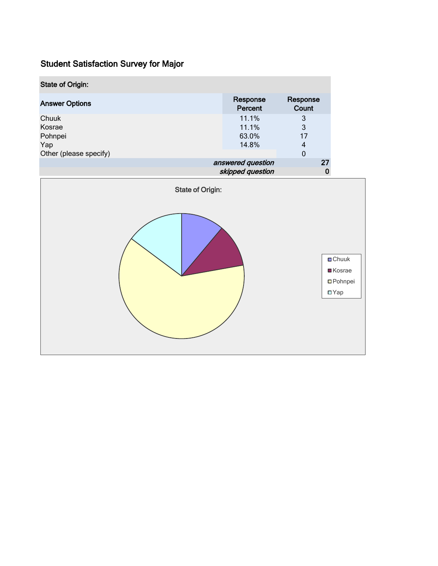| <b>State of Origin:</b>           |                                       |                                                                                |                                   |  |  |  |  |  |
|-----------------------------------|---------------------------------------|--------------------------------------------------------------------------------|-----------------------------------|--|--|--|--|--|
| <b>Answer Options</b>             | Response<br>Percent                   | Response<br>Count                                                              |                                   |  |  |  |  |  |
| Chuuk<br>Kosrae<br>Pohnpei<br>Yap | 11.1%<br>11.1%<br>63.0%<br>14.8%      | $\ensuremath{\mathsf{3}}$<br>3<br>17<br>$\overline{\mathbf{4}}$<br>$\mathbf 0$ |                                   |  |  |  |  |  |
| Other (please specify)            | answered question<br>skipped question | 27<br>$\pmb{0}$                                                                |                                   |  |  |  |  |  |
| <b>State of Origin:</b>           |                                       |                                                                                |                                   |  |  |  |  |  |
| <b>□</b> Chuuk<br>■Kosrae         |                                       |                                                                                |                                   |  |  |  |  |  |
|                                   |                                       |                                                                                | <b>O</b> Pohnpei<br>$\square$ Yap |  |  |  |  |  |
|                                   |                                       |                                                                                |                                   |  |  |  |  |  |